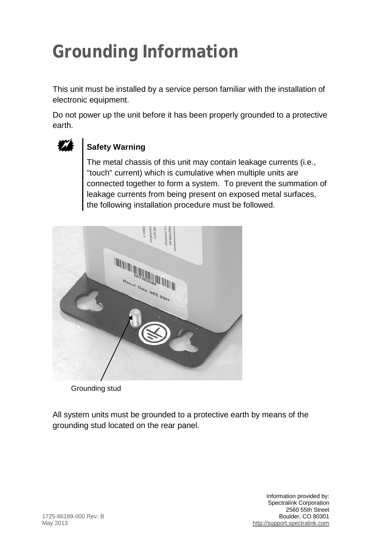## **Grounding Information**

This unit must be installed by a service person familiar with the installation of electronic equipment.

Do not power up the unit before it has been properly grounded to a protective earth.



## Safety Warning

The metal chassis of this unit may contain leakage currents (i.e., "touch" current) which is cumulative when multiple units are connected together to form a system. To prevent the summation of leakage currents from being present on exposed metal surfaces, the following installation procedure must be followed.



Grounding stud

All system units must be grounded to a protective earth by means of the grounding stud located on the rear panel.